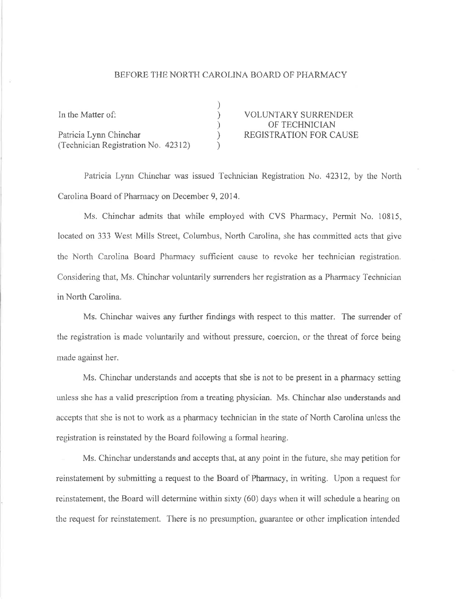## BEFORE THE NORTH CAROLINA BOARD OF PHARMACY

| In the Matter of:                   | <b>VOLUNTARY SURRENDER</b>    |
|-------------------------------------|-------------------------------|
|                                     | OF TECHNICIAN                 |
| Patricia Lynn Chinchar              | <b>REGISTRATION FOR CAUSE</b> |
| (Technician Registration No. 42312) |                               |

Patricia Lynn Chinchar was issued Technician Registration No. 42312, by the North Carolina Board of Pharmacy on December 9, 2014.

Ms. Chinchar admits that while employed with CVS Pharmacy, Permit No. 10815, located on 333 West Mills Street, Columbus, North Carolina, she has committed acts that give the North Carolina Board Pharmacy sufficient cause to revoke her technician registration. Considering that, Ms. Chinchar voluntarily surrenders her registration as a Pharmacy Technician in North Carolina.

Ms. Chinchar waives any further findings with respect to this matter. The surrender of the registration is made voluntarily and without pressure, coercion, or the threat of force being made against her.

Ms. Chinchar understands and accepts that she is not to be present in a pharmacy setting unless she has a valid prescription from a treating physician. Ms. Chinchar also understands and accepts that she is not to work as a pharmacy technician in the state of North Carolina unless the registration is reinstated by the Board following a formal hearing.

Ms. Chinchar understands and accepts that, at any point in the future, she may petition for reinstatement by submitting a request to the Board of Pharmacy, in writing. Upon a request for reinstatement, the Board will determine within sixty (60) days when it will schedule a hearing on the request for reinstatement. There is no presumption, guarantee or other implication intended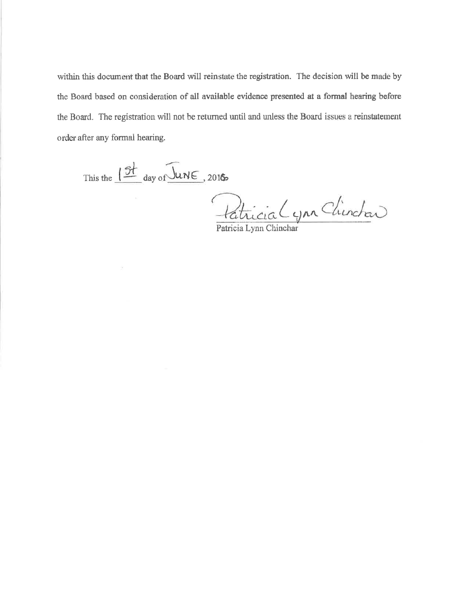within this document that the Board will reinstate the registration. The decision will be made by the Board based on consideration of all available evidence presented at a formal hearing before the Board. The registration will not be returned until and unless the Board issues a reinstatement order after any formal hearing.

This the  $12t$  day of  $\overline{\bigcup_{uN\infty}}$ , 2016

Patricia (you Chinchar)

Patricia Lynn Chinchar